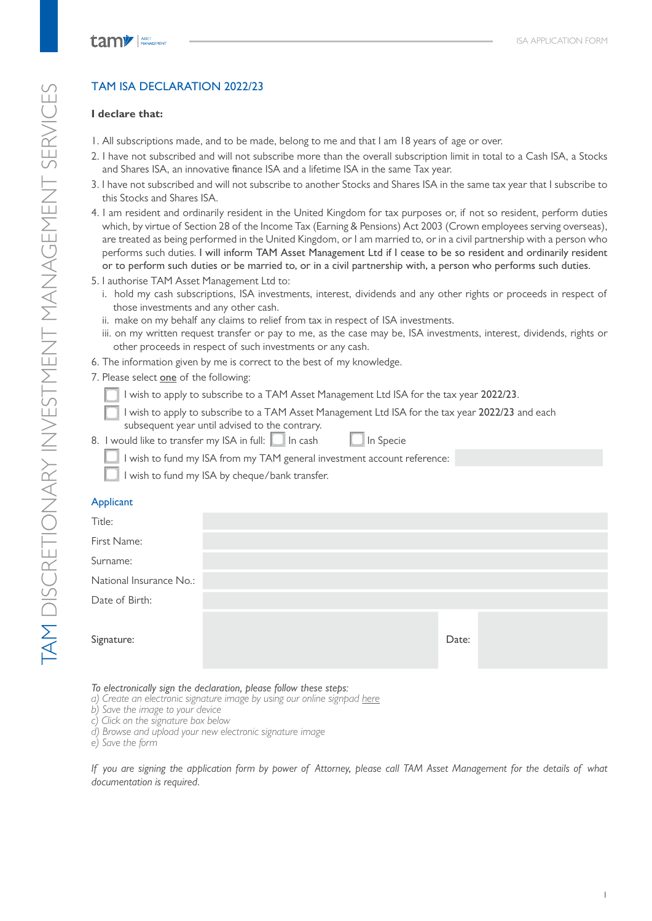# **TAM DISCRETIONARY INVESTMENT MANAGEMENT SERVICES** TAM DISCRETIONARY INVESTMENT MANAGEMENT SERVICES

# TAM ISA DECLARATION 2022/23

# **I declare that:**

- 1. All subscriptions made, and to be made, belong to me and that I am 18 years of age or over.
- 2. I have not subscribed and will not subscribe more than the overall subscription limit in total to a Cash ISA, a Stocks and Shares ISA, an innovative finance ISA and a lifetime ISA in the same Tax year.
- 3. I have not subscribed and will not subscribe to another Stocks and Shares ISA in the same tax year that I subscribe to this Stocks and Shares ISA.
- 4. I am resident and ordinarily resident in the United Kingdom for tax purposes or, if not so resident, perform duties which, by virtue of Section 28 of the Income Tax (Earning & Pensions) Act 2003 (Crown employees serving overseas), are treated as being performed in the United Kingdom, or I am married to, or in a civil partnership with a person who performs such duties. I will inform TAM Asset Management Ltd if I cease to be so resident and ordinarily resident or to perform such duties or be married to, or in a civil partnership with, a person who performs such duties.
- 5. I authorise TAM Asset Management Ltd to:
	- i. hold my cash subscriptions, ISA investments, interest, dividends and any other rights or proceeds in respect of those investments and any other cash.
	- ii. make on my behalf any claims to relief from tax in respect of ISA investments.
	- iii. on my written request transfer or pay to me, as the case may be, ISA investments, interest, dividends, rights or other proceeds in respect of such investments or any cash.
- 6. The information given by me is correct to the best of my knowledge.
- 7. Please select one of the following:
	- I wish to apply to subscribe to a TAM Asset Management Ltd ISA for the tax year 2022/23.
	- I wish to apply to subscribe to a TAM Asset Management Ltd ISA for the tax year 2022/23 and each subsequent year until advised to the contrary.
- 8. I would like to transfer my ISA in full:  $\Box$  In cash  $\Box$  In Specie

I wish to fund my ISA from my TAM general investment account reference:

I wish to fund my ISA by cheque/bank transfer.

# Applicant

| Title:                  |       |  |
|-------------------------|-------|--|
| First Name:             |       |  |
| Surname:                |       |  |
| National Insurance No.: |       |  |
| Date of Birth:          |       |  |
| Signature:              | Date: |  |

*To electronically sign the declaration, please follow these steps:*

- *a) Create an electronic signature image by using our online signpad here*
- *b) Save the image to your device*
- *c) Click on the signature box below*
- *d) Browse and upload your new electronic signature image*
- *e) Save the form*

*If you are signing the application form by power of Attorney, please call TAM Asset Management for the details of what documentation is required.*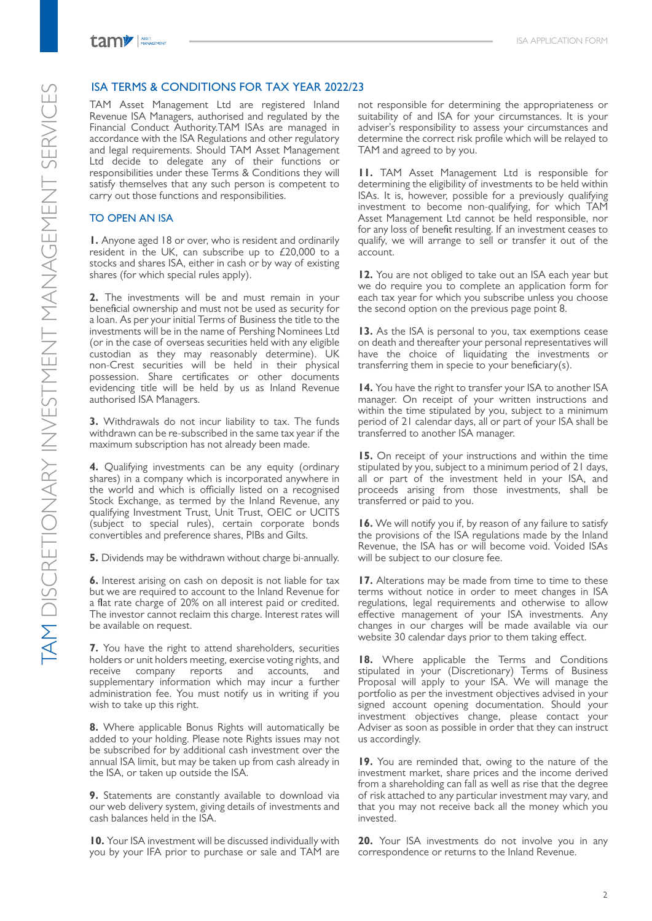tamy | ASSET

## ISA TERMS & CONDITIONS FOR TAX YEAR 2022/23

TAM Asset Management Ltd are registered Inland Revenue ISA Managers, authorised and regulated by the Financial Conduct Authority.TAM ISAs are managed in accordance with the ISA Regulations and other regulatory and legal requirements. Should TAM Asset Management Ltd decide to delegate any of their functions or responsibilities under these Terms & Conditions they will satisfy themselves that any such person is competent to carry out those functions and responsibilities.

### TO OPEN AN ISA

**1.** Anyone aged 18 or over, who is resident and ordinarily resident in the UK, can subscribe up to  $£20,000$  to a stocks and shares ISA, either in cash or by way of existing shares (for which special rules apply).

**2.** The investments will be and must remain in your beneficial ownership and must not be used as security for a loan. As per your initial Terms of Business the title to the investments will be in the name of Pershing Nominees Ltd (or in the case of overseas securities held with any eligible custodian as they may reasonably determine). UK non-Crest securities will be held in their physical possession. Share certificates or other documents evidencing title will be held by us as Inland Revenue authorised ISA Managers.

**3.** Withdrawals do not incur liability to tax. The funds withdrawn can be re-subscribed in the same tax year if the maximum subscription has not already been made.

**4.** Qualifying investments can be any equity (ordinary shares) in a company which is incorporated anywhere in the world and which is officially listed on a recognised Stock Exchange, as termed by the Inland Revenue, any qualifying Investment Trust, Unit Trust, OEIC or UCITS (subject to special rules), certain corporate bonds convertibles and preference shares, PIBs and Gilts.

**5.** Dividends may be withdrawn without charge bi-annually.

**6.** Interest arising on cash on deposit is not liable for tax but we are required to account to the Inland Revenue for a flat rate charge of 20% on all interest paid or credited. The investor cannot reclaim this charge. Interest rates will be available on request.

**7.** You have the right to attend shareholders, securities holders or unit holders meeting, exercise voting rights, and receive company reports and accounts, and supplementary information which may incur a further administration fee. You must notify us in writing if you wish to take up this right.

**8.** Where applicable Bonus Rights will automatically be added to your holding. Please note Rights issues may not be subscribed for by additional cash investment over the annual ISA limit, but may be taken up from cash already in the ISA, or taken up outside the ISA.

**9.** Statements are constantly available to download via our web delivery system, giving details of investments and cash balances held in the ISA.

**10.** Your ISA investment will be discussed individually with you by your IFA prior to purchase or sale and TAM are

not responsible for determining the appropriateness or suitability of and ISA for your circumstances. It is your adviser's responsibility to assess your circumstances and determine the correct risk profile which will be relayed to TAM and agreed to by you.

**11.** TAM Asset Management Ltd is responsible for determining the eligibility of investments to be held within ISAs. It is, however, possible for a previously qualifying investment to become non-qualifying, for which TAM Asset Management Ltd cannot be held responsible, nor for any loss of benefit resulting. If an investment ceases to qualify, we will arrange to sell or transfer it out of the account.

**12.** You are not obliged to take out an ISA each year but we do require you to complete an application form for each tax year for which you subscribe unless you choose the second option on the previous page point 8.

**13.** As the ISA is personal to you, tax exemptions cease on death and thereafter your personal representatives will have the choice of liquidating the investments or transferring them in specie to your beneficiary(s).

**14.** You have the right to transfer your ISA to another ISA manager. On receipt of your written instructions and within the time stipulated by you, subject to a minimum period of 21 calendar days, all or part of your ISA shall be transferred to another ISA manager.

**15.** On receipt of your instructions and within the time stipulated by you, subject to a minimum period of 21 days, all or part of the investment held in your ISA, and proceeds arising from those investments, shall be transferred or paid to you.

**16.** We will notify you if, by reason of any failure to satisfy the provisions of the ISA regulations made by the Inland Revenue, the ISA has or will become void. Voided ISAs will be subject to our closure fee.

**17.** Alterations may be made from time to time to these terms without notice in order to meet changes in ISA regulations, legal requirements and otherwise to allow effective management of your ISA investments. Any changes in our charges will be made available via our website 30 calendar days prior to them taking effect.

**18.** Where applicable the Terms and Conditions stipulated in your (Discretionary) Terms of Business Proposal will apply to your ISA. We will manage the portfolio as per the investment objectives advised in your signed account opening documentation. Should your investment objectives change, please contact your Adviser as soon as possible in order that they can instruct us accordingly.

**19.** You are reminded that, owing to the nature of the investment market, share prices and the income derived from a shareholding can fall as well as rise that the degree of risk attached to any particular investment may vary, and that you may not receive back all the money which you invested.

**20.** Your ISA investments do not involve you in any correspondence or returns to the Inland Revenue.